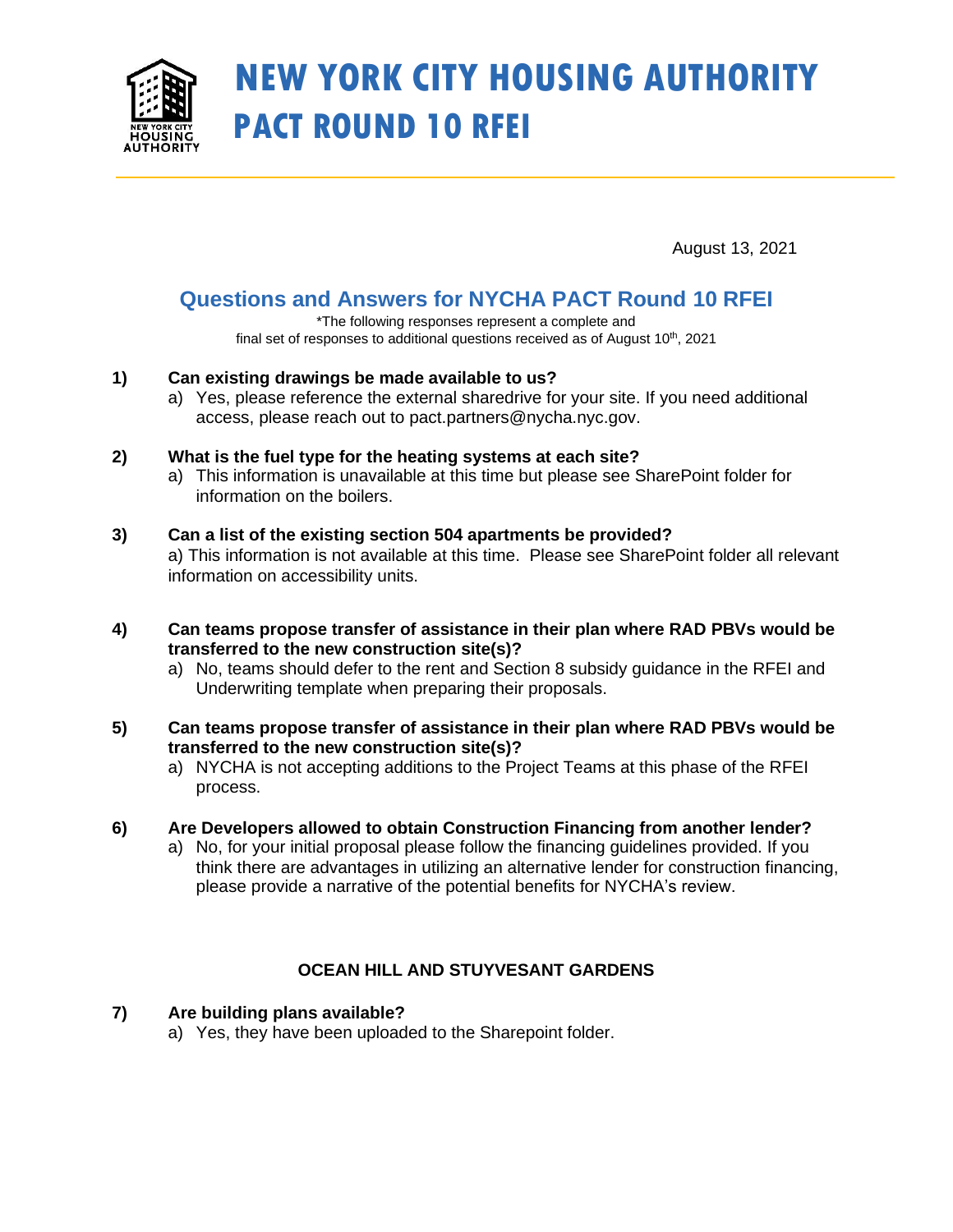

# **NEW YORK CITY HOUSING AUTHORITY PACT ROUND 10 RFEI**

August 13, 2021

# **Questions and Answers for NYCHA PACT Round 10 RFEI**

\*The following responses represent a complete and final set of responses to additional questions received as of August  $10<sup>th</sup>$ , 2021

# **1) Can existing drawings be made available to us?**

a) Yes, please reference the external sharedrive for your site. If you need additional access, please reach out to pact.partners@nycha.nyc.gov.

# **2) What is the fuel type for the heating systems at each site?**

a) This information is unavailable at this time but please see SharePoint folder for information on the boilers.

#### **3) Can a list of the existing section 504 apartments be provided?**

a) This information is not available at this time. Please see SharePoint folder all relevant information on accessibility units.

#### **4) Can teams propose transfer of assistance in their plan where RAD PBVs would be transferred to the new construction site(s)?**

a) No, teams should defer to the rent and Section 8 subsidy guidance in the RFEI and Underwriting template when preparing their proposals.

#### **5) Can teams propose transfer of assistance in their plan where RAD PBVs would be transferred to the new construction site(s)?**

a) NYCHA is not accepting additions to the Project Teams at this phase of the RFEI process.

# **6) Are Developers allowed to obtain Construction Financing from another lender?**

a) No, for your initial proposal please follow the financing guidelines provided. If you think there are advantages in utilizing an alternative lender for construction financing, please provide a narrative of the potential benefits for NYCHA's review.

# **OCEAN HILL AND STUYVESANT GARDENS**

# **7) Are building plans available?**

a) Yes, they have been uploaded to the Sharepoint folder.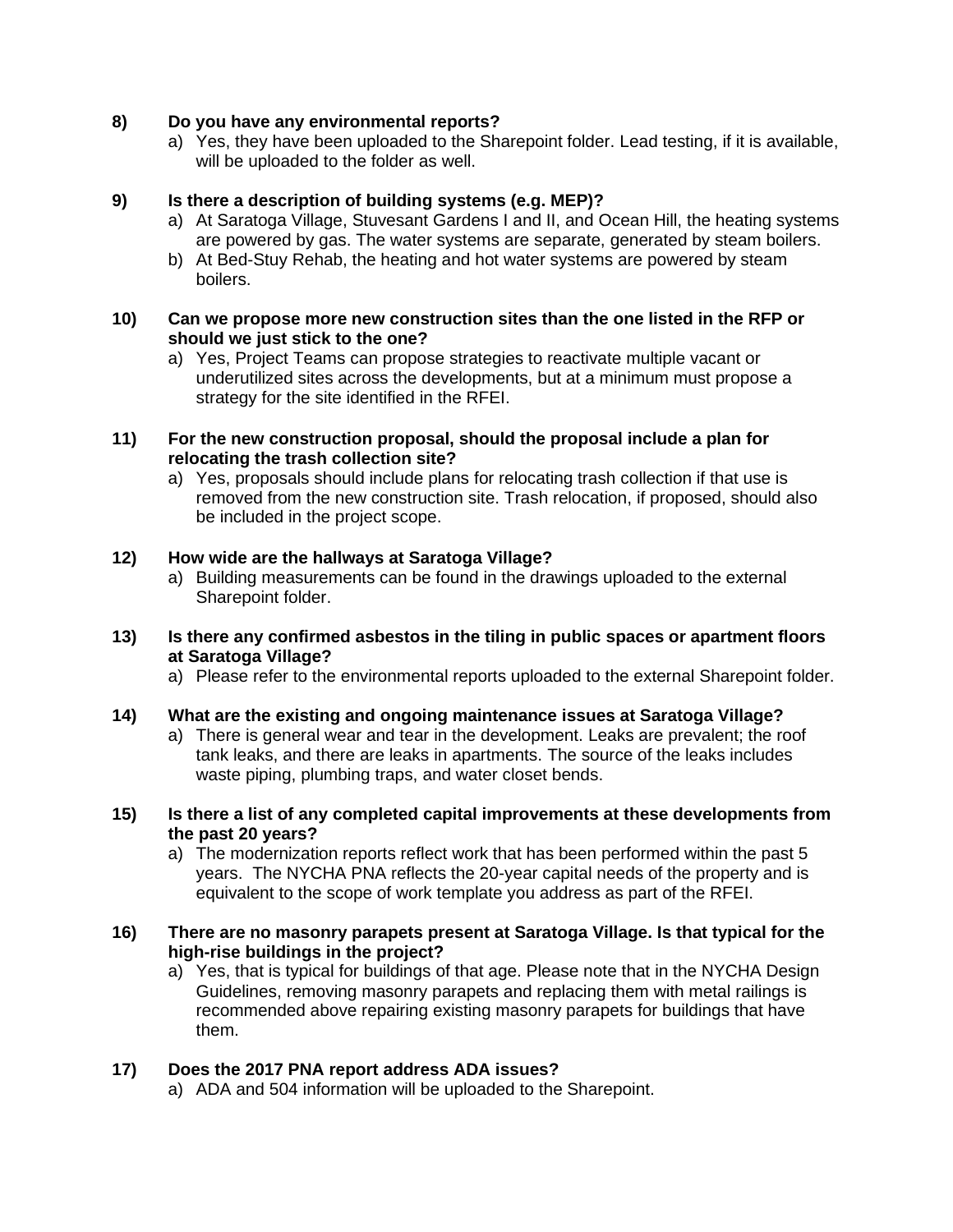#### **8) Do you have any environmental reports?**

a) Yes, they have been uploaded to the Sharepoint folder. Lead testing, if it is available, will be uploaded to the folder as well.

#### **9) Is there a description of building systems (e.g. MEP)?**

- a) At Saratoga Village, Stuvesant Gardens I and II, and Ocean Hill, the heating systems are powered by gas. The water systems are separate, generated by steam boilers.
- b) At Bed-Stuy Rehab, the heating and hot water systems are powered by steam boilers.

#### **10) Can we propose more new construction sites than the one listed in the RFP or should we just stick to the one?**

- a) Yes, Project Teams can propose strategies to reactivate multiple vacant or underutilized sites across the developments, but at a minimum must propose a strategy for the site identified in the RFEI.
- **11) For the new construction proposal, should the proposal include a plan for relocating the trash collection site?**
	- a) Yes, proposals should include plans for relocating trash collection if that use is removed from the new construction site. Trash relocation, if proposed, should also be included in the project scope.

#### **12) How wide are the hallways at Saratoga Village?**

- a) Building measurements can be found in the drawings uploaded to the external Sharepoint folder.
- **13) Is there any confirmed asbestos in the tiling in public spaces or apartment floors at Saratoga Village?**
	- a) Please refer to the environmental reports uploaded to the external Sharepoint folder.

#### **14) What are the existing and ongoing maintenance issues at Saratoga Village?**

- a) There is general wear and tear in the development. Leaks are prevalent; the roof tank leaks, and there are leaks in apartments. The source of the leaks includes waste piping, plumbing traps, and water closet bends.
- **15) Is there a list of any completed capital improvements at these developments from the past 20 years?**
	- a) The modernization reports reflect work that has been performed within the past 5 years. The NYCHA PNA reflects the 20-year capital needs of the property and is equivalent to the scope of work template you address as part of the RFEI.

#### **16) There are no masonry parapets present at Saratoga Village. Is that typical for the high-rise buildings in the project?**

a) Yes, that is typical for buildings of that age. Please note that in the NYCHA Design Guidelines, removing masonry parapets and replacing them with metal railings is recommended above repairing existing masonry parapets for buildings that have them.

#### **17) Does the 2017 PNA report address ADA issues?**

a) ADA and 504 information will be uploaded to the Sharepoint.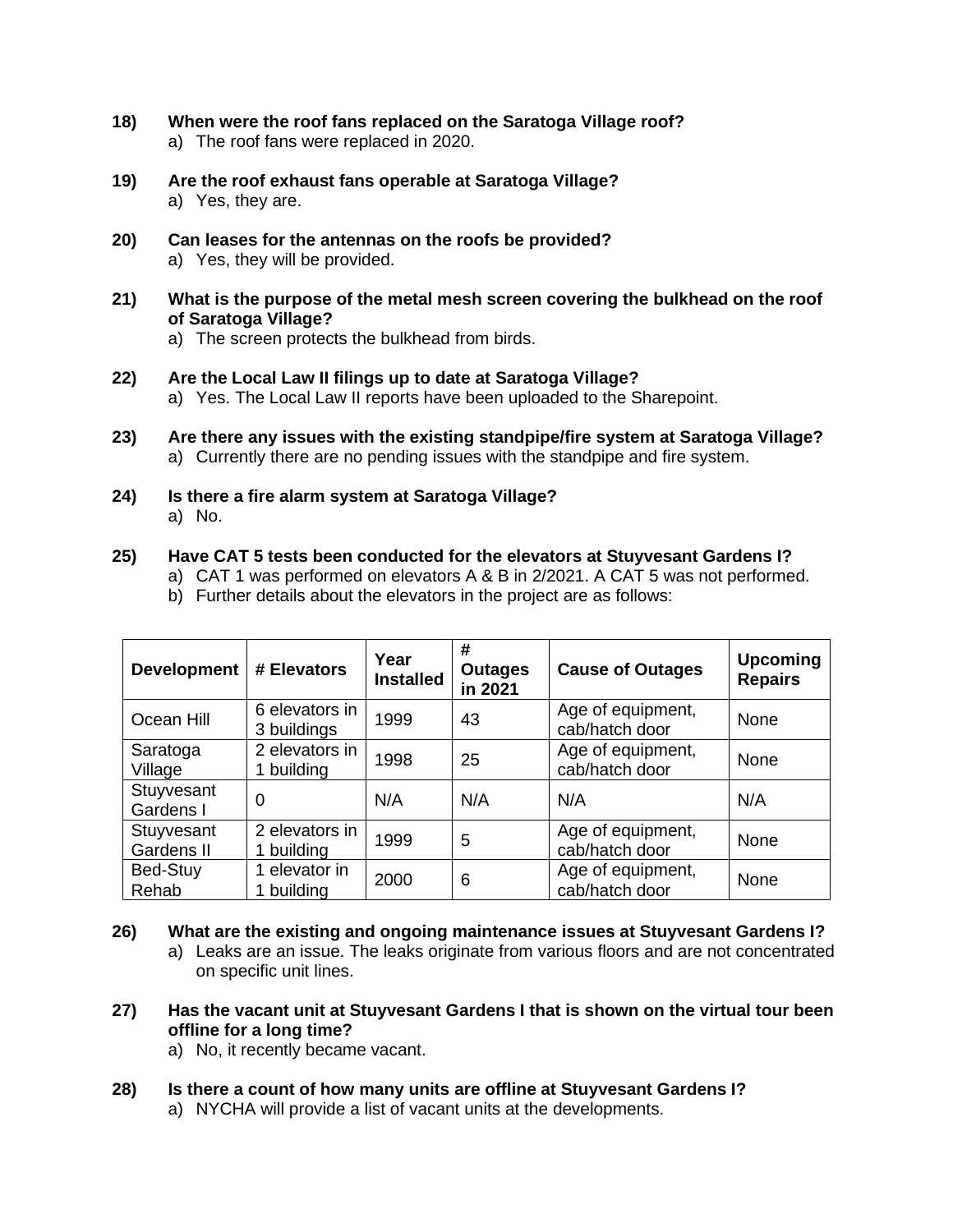- **18) When were the roof fans replaced on the Saratoga Village roof?** a) The roof fans were replaced in 2020.
- **19) Are the roof exhaust fans operable at Saratoga Village?** a) Yes, they are.
- **20) Can leases for the antennas on the roofs be provided?** a) Yes, they will be provided.
- **21) What is the purpose of the metal mesh screen covering the bulkhead on the roof of Saratoga Village?**
	- a) The screen protects the bulkhead from birds.
- **22) Are the Local Law II filings up to date at Saratoga Village?** a) Yes. The Local Law II reports have been uploaded to the Sharepoint.
- **23) Are there any issues with the existing standpipe/fire system at Saratoga Village?**  a) Currently there are no pending issues with the standpipe and fire system.
- **24) Is there a fire alarm system at Saratoga Village?** a) No.

#### **25) Have CAT 5 tests been conducted for the elevators at Stuyvesant Gardens I?**

- a) CAT 1 was performed on elevators A & B in 2/2021. A CAT 5 was not performed.
- b) Further details about the elevators in the project are as follows:

| <b>Development</b>       | # Elevators                   | Year<br><b>Installed</b> | #<br><b>Outages</b><br>in 2021 | <b>Cause of Outages</b>             | <b>Upcoming</b><br><b>Repairs</b> |
|--------------------------|-------------------------------|--------------------------|--------------------------------|-------------------------------------|-----------------------------------|
| Ocean Hill               | 6 elevators in<br>3 buildings | 1999                     | 43                             | Age of equipment,<br>cab/hatch door | None                              |
| Saratoga<br>Village      | 2 elevators in<br>1 building  | 1998                     | 25                             | Age of equipment,<br>cab/hatch door | <b>None</b>                       |
| Stuyvesant<br>Gardens I  | 0                             | N/A                      | N/A                            | N/A                                 | N/A                               |
| Stuyvesant<br>Gardens II | 2 elevators in<br>1 building  | 1999                     | 5                              | Age of equipment,<br>cab/hatch door | None                              |
| Bed-Stuy<br>Rehab        | 1 elevator in<br>building     | 2000                     | 6                              | Age of equipment,<br>cab/hatch door | None                              |

- **26) What are the existing and ongoing maintenance issues at Stuyvesant Gardens I?**
	- a) Leaks are an issue. The leaks originate from various floors and are not concentrated on specific unit lines.
- **27) Has the vacant unit at Stuyvesant Gardens I that is shown on the virtual tour been offline for a long time?**
	- a) No, it recently became vacant.
- **28) Is there a count of how many units are offline at Stuyvesant Gardens I?**
	- a) NYCHA will provide a list of vacant units at the developments.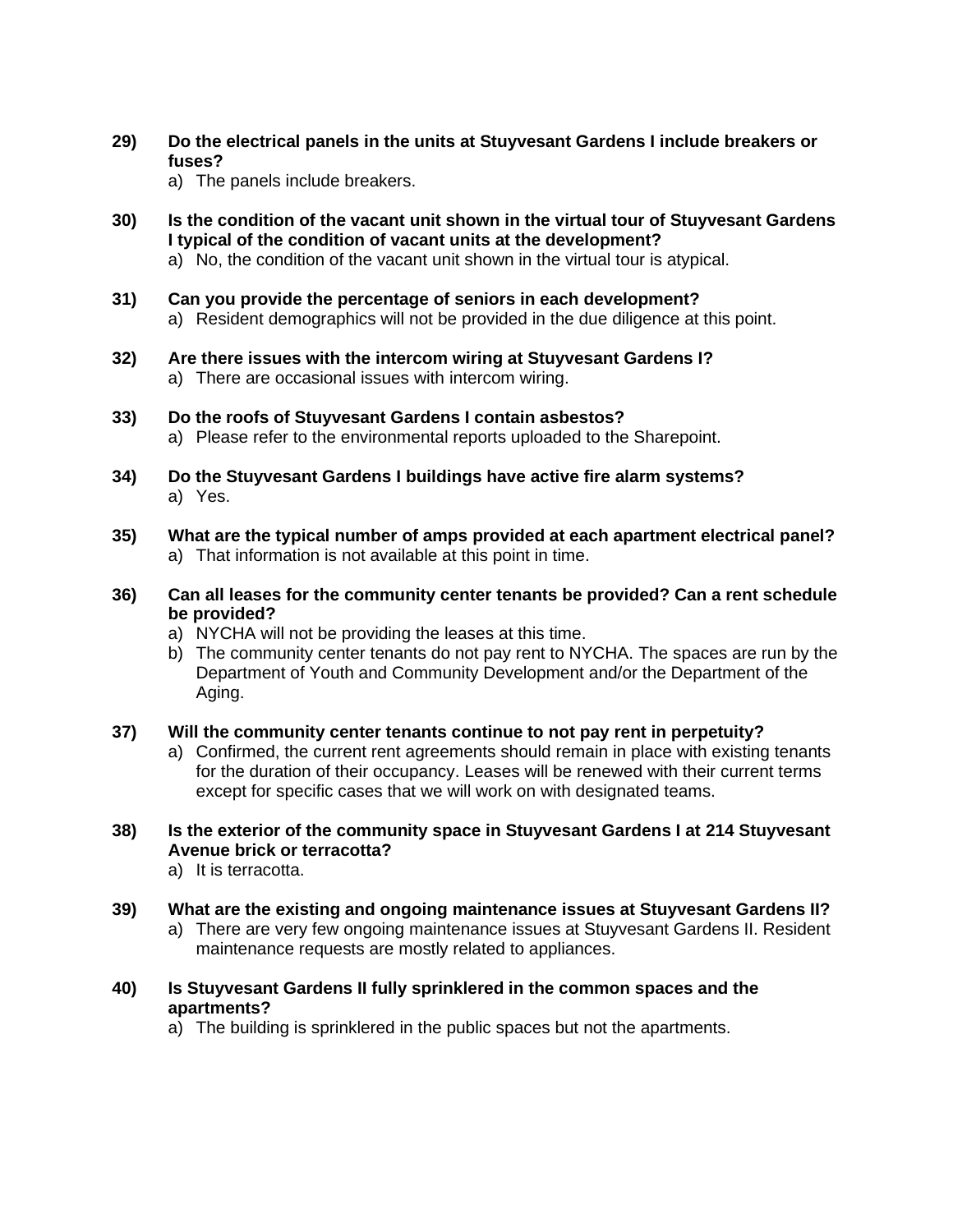- **29) Do the electrical panels in the units at Stuyvesant Gardens I include breakers or fuses?**
	- a) The panels include breakers.
- **30) Is the condition of the vacant unit shown in the virtual tour of Stuyvesant Gardens I typical of the condition of vacant units at the development?**
	- a) No, the condition of the vacant unit shown in the virtual tour is atypical.
- **31) Can you provide the percentage of seniors in each development?** a) Resident demographics will not be provided in the due diligence at this point.
- **32) Are there issues with the intercom wiring at Stuyvesant Gardens I?**
	- a) There are occasional issues with intercom wiring.
- **33) Do the roofs of Stuyvesant Gardens I contain asbestos?**
	- a) Please refer to the environmental reports uploaded to the Sharepoint.
- **34) Do the Stuyvesant Gardens I buildings have active fire alarm systems?** a) Yes.
- **35) What are the typical number of amps provided at each apartment electrical panel?** a) That information is not available at this point in time.
- **36) Can all leases for the community center tenants be provided? Can a rent schedule be provided?**
	- a) NYCHA will not be providing the leases at this time.
	- b) The community center tenants do not pay rent to NYCHA. The spaces are run by the Department of Youth and Community Development and/or the Department of the Aging.
- **37) Will the community center tenants continue to not pay rent in perpetuity?**
	- a) Confirmed, the current rent agreements should remain in place with existing tenants for the duration of their occupancy. Leases will be renewed with their current terms except for specific cases that we will work on with designated teams.

# **38) Is the exterior of the community space in Stuyvesant Gardens I at 214 Stuyvesant Avenue brick or terracotta?**

- a) It is terracotta.
- **39) What are the existing and ongoing maintenance issues at Stuyvesant Gardens II?**
	- a) There are very few ongoing maintenance issues at Stuyvesant Gardens II. Resident maintenance requests are mostly related to appliances.
- **40) Is Stuyvesant Gardens II fully sprinklered in the common spaces and the apartments?**
	- a) The building is sprinklered in the public spaces but not the apartments.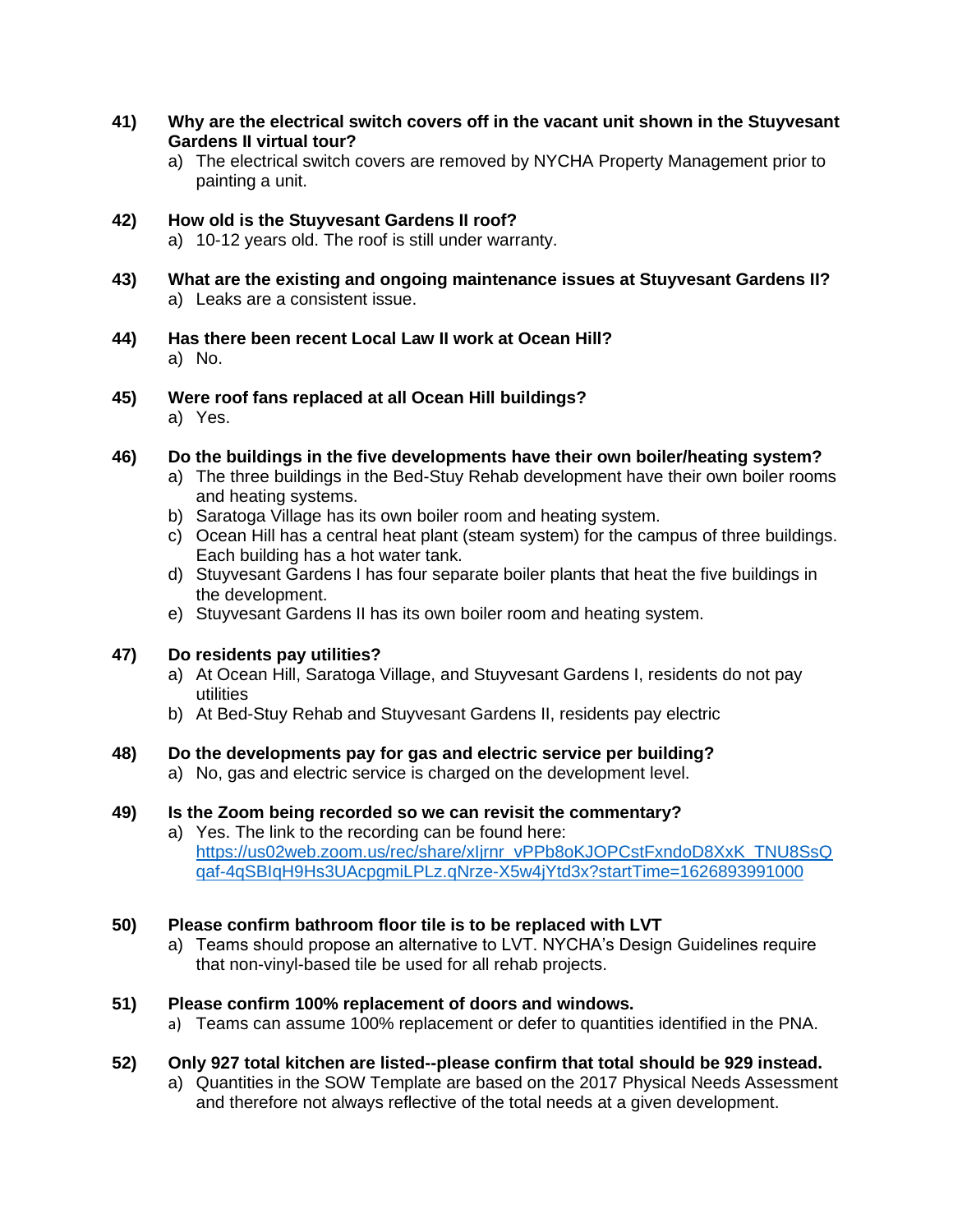- **41) Why are the electrical switch covers off in the vacant unit shown in the Stuyvesant Gardens II virtual tour?**
	- a) The electrical switch covers are removed by NYCHA Property Management prior to painting a unit.

# **42) How old is the Stuyvesant Gardens II roof?**

- a) 10-12 years old. The roof is still under warranty.
- **43) What are the existing and ongoing maintenance issues at Stuyvesant Gardens II?** a) Leaks are a consistent issue.
- **44) Has there been recent Local Law II work at Ocean Hill?** a) No.
- **45) Were roof fans replaced at all Ocean Hill buildings?** a) Yes.

#### **46) Do the buildings in the five developments have their own boiler/heating system?**

- a) The three buildings in the Bed-Stuy Rehab development have their own boiler rooms and heating systems.
- b) Saratoga Village has its own boiler room and heating system.
- c) Ocean Hill has a central heat plant (steam system) for the campus of three buildings. Each building has a hot water tank.
- d) Stuyvesant Gardens I has four separate boiler plants that heat the five buildings in the development.
- e) Stuyvesant Gardens II has its own boiler room and heating system.

#### **47) Do residents pay utilities?**

- a) At Ocean Hill, Saratoga Village, and Stuyvesant Gardens I, residents do not pay utilities
- b) At Bed-Stuy Rehab and Stuyvesant Gardens II, residents pay electric

#### **48) Do the developments pay for gas and electric service per building?**

a) No, gas and electric service is charged on the development level.

#### **49) Is the Zoom being recorded so we can revisit the commentary?**

a) Yes. The link to the recording can be found here: [https://us02web.zoom.us/rec/share/xIjrnr\\_vPPb8oKJOPCstFxndoD8XxK\\_TNU8SsQ](https://us02web.zoom.us/rec/share/xIjrnr_vPPb8oKJOPCstFxndoD8XxK_TNU8SsQqaf-4qSBIqH9Hs3UAcpgmiLPLz.qNrze-X5w4jYtd3x?startTime=1626893991000) [qaf-4qSBIqH9Hs3UAcpgmiLPLz.qNrze-X5w4jYtd3x?startTime=1626893991000](https://us02web.zoom.us/rec/share/xIjrnr_vPPb8oKJOPCstFxndoD8XxK_TNU8SsQqaf-4qSBIqH9Hs3UAcpgmiLPLz.qNrze-X5w4jYtd3x?startTime=1626893991000)

#### **50) Please confirm bathroom floor tile is to be replaced with LVT**

a) Teams should propose an alternative to LVT. NYCHA's Design Guidelines require that non-vinyl-based tile be used for all rehab projects.

#### **51) Please confirm 100% replacement of doors and windows.**

a) Teams can assume 100% replacement or defer to quantities identified in the PNA.

#### **52) Only 927 total kitchen are listed--please confirm that total should be 929 instead.**

a) Quantities in the SOW Template are based on the 2017 Physical Needs Assessment and therefore not always reflective of the total needs at a given development.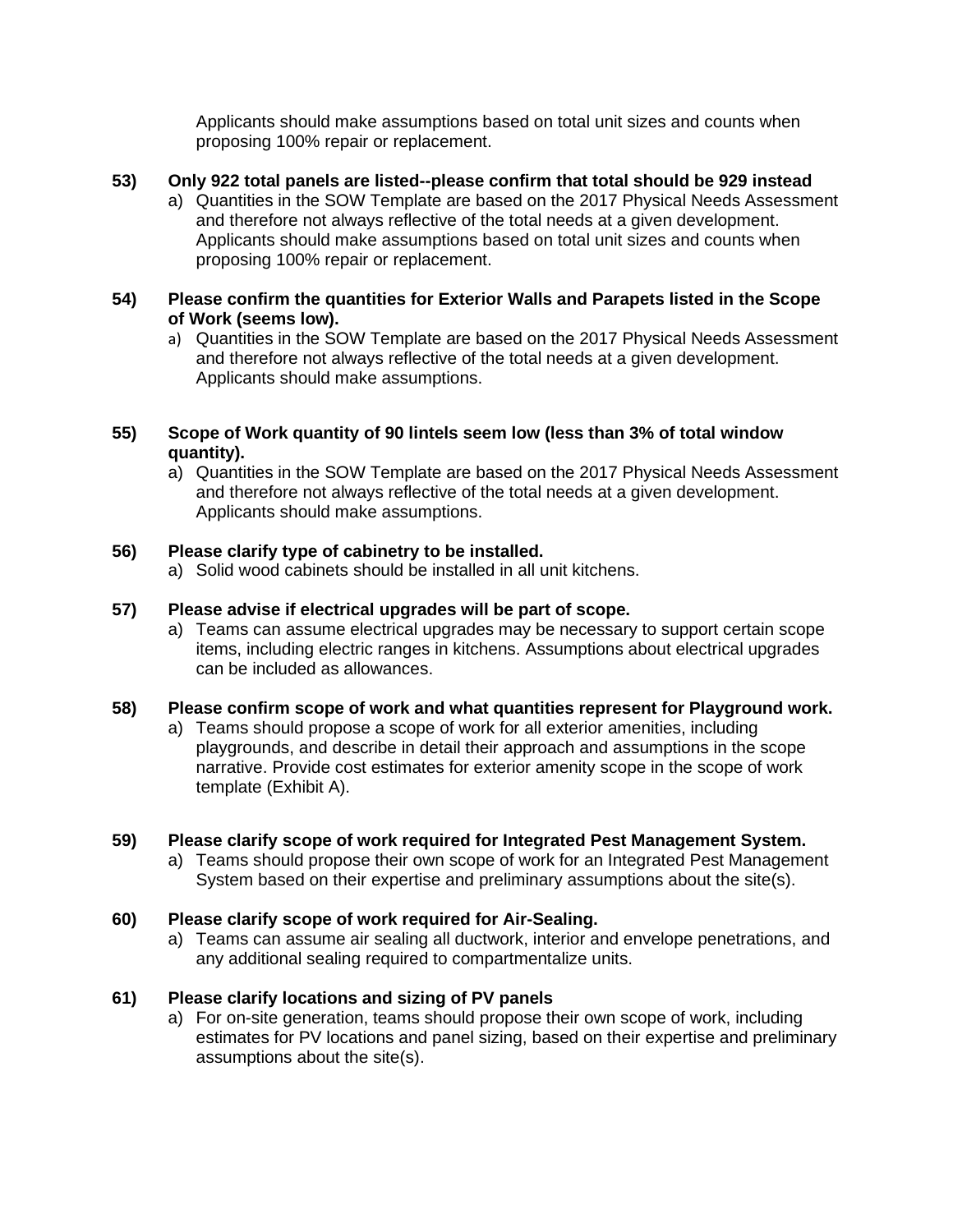Applicants should make assumptions based on total unit sizes and counts when proposing 100% repair or replacement.

#### **53) Only 922 total panels are listed--please confirm that total should be 929 instead**

a) Quantities in the SOW Template are based on the 2017 Physical Needs Assessment and therefore not always reflective of the total needs at a given development. Applicants should make assumptions based on total unit sizes and counts when proposing 100% repair or replacement.

#### **54) Please confirm the quantities for Exterior Walls and Parapets listed in the Scope of Work (seems low).**

a) Quantities in the SOW Template are based on the 2017 Physical Needs Assessment and therefore not always reflective of the total needs at a given development. Applicants should make assumptions.

#### **55) Scope of Work quantity of 90 lintels seem low (less than 3% of total window quantity).**

a) Quantities in the SOW Template are based on the 2017 Physical Needs Assessment and therefore not always reflective of the total needs at a given development. Applicants should make assumptions.

#### **56) Please clarify type of cabinetry to be installed.**

a) Solid wood cabinets should be installed in all unit kitchens.

#### **57) Please advise if electrical upgrades will be part of scope.**

a) Teams can assume electrical upgrades may be necessary to support certain scope items, including electric ranges in kitchens. Assumptions about electrical upgrades can be included as allowances.

#### **58) Please confirm scope of work and what quantities represent for Playground work.**

a) Teams should propose a scope of work for all exterior amenities, including playgrounds, and describe in detail their approach and assumptions in the scope narrative. Provide cost estimates for exterior amenity scope in the scope of work template (Exhibit A).

#### **59) Please clarify scope of work required for Integrated Pest Management System.**

a) Teams should propose their own scope of work for an Integrated Pest Management System based on their expertise and preliminary assumptions about the site(s).

#### **60) Please clarify scope of work required for Air-Sealing.**

a) Teams can assume air sealing all ductwork, interior and envelope penetrations, and any additional sealing required to compartmentalize units.

#### **61) Please clarify locations and sizing of PV panels**

a) For on-site generation, teams should propose their own scope of work, including estimates for PV locations and panel sizing, based on their expertise and preliminary assumptions about the site(s).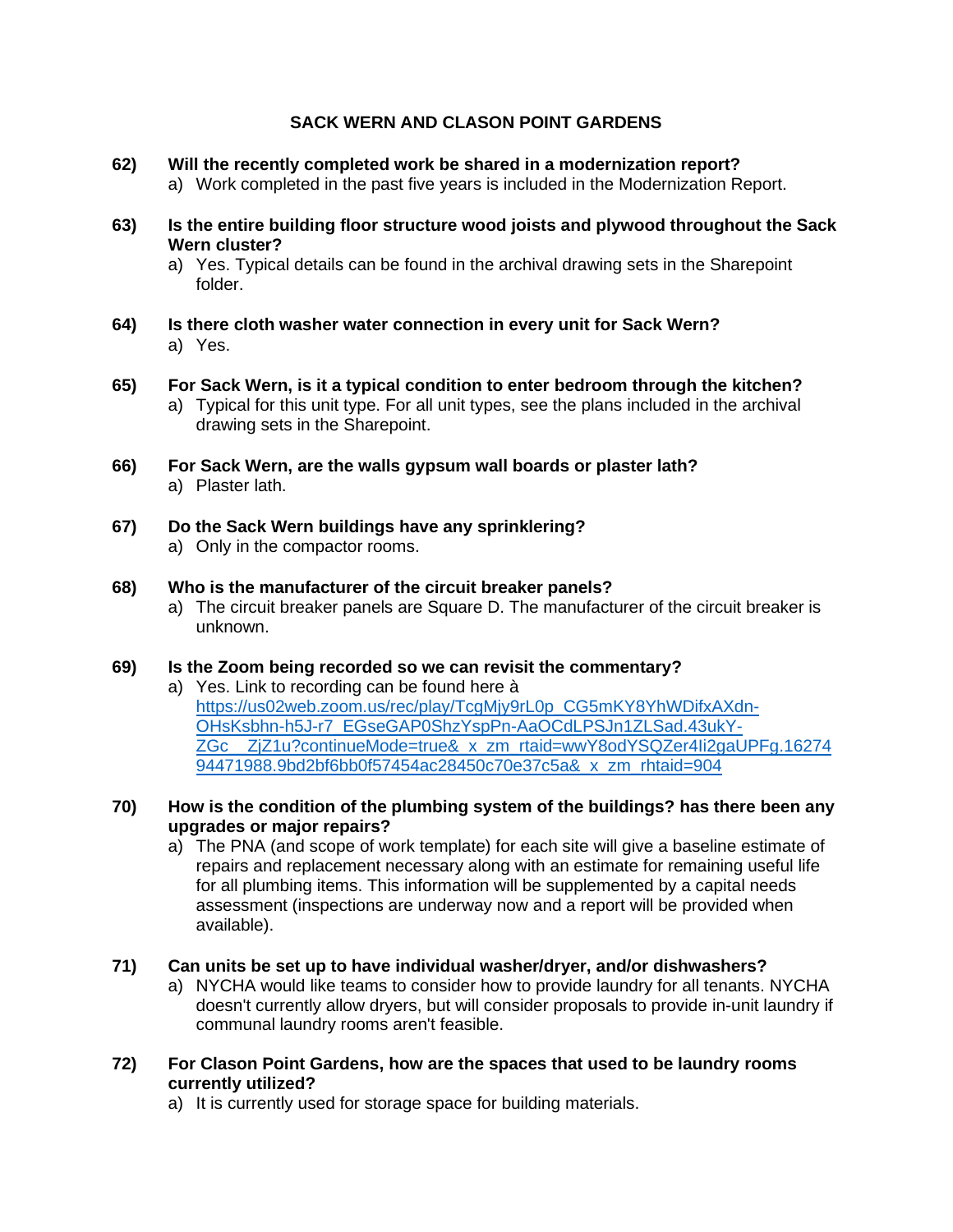# **SACK WERN AND CLASON POINT GARDENS**

- **62) Will the recently completed work be shared in a modernization report?** a) Work completed in the past five years is included in the Modernization Report.
- **63) Is the entire building floor structure wood joists and plywood throughout the Sack Wern cluster?**
	- a) Yes. Typical details can be found in the archival drawing sets in the Sharepoint folder.
- **64) Is there cloth washer water connection in every unit for Sack Wern?** a) Yes.
- **65) For Sack Wern, is it a typical condition to enter bedroom through the kitchen?** a) Typical for this unit type. For all unit types, see the plans included in the archival drawing sets in the Sharepoint.
- **66) For Sack Wern, are the walls gypsum wall boards or plaster lath?** a) Plaster lath.
- **67) Do the Sack Wern buildings have any sprinklering?** a) Only in the compactor rooms.
- **68) Who is the manufacturer of the circuit breaker panels?**
	- a) The circuit breaker panels are Square D. The manufacturer of the circuit breaker is unknown.

#### **69) Is the Zoom being recorded so we can revisit the commentary?**

a) Yes. Link to recording can be found here à [https://us02web.zoom.us/rec/play/TcgMjy9rL0p\\_CG5mKY8YhWDifxAXdn-](https://us02web.zoom.us/rec/play/TcgMjy9rL0p_CG5mKY8YhWDifxAXdn-OHsKsbhn-h5J-r7_EGseGAP0ShzYspPn-AaOCdLPSJn1ZLSad.43ukY-ZGc__ZjZ1u?continueMode=true&_x_zm_rtaid=wwY8odYSQZer4Ii2gaUPFg.1627494471988.9bd2bf6bb0f57454ac28450c70e37c5a&_x_zm_rhtaid=904)[OHsKsbhn-h5J-r7\\_EGseGAP0ShzYspPn-AaOCdLPSJn1ZLSad.43ukY-](https://us02web.zoom.us/rec/play/TcgMjy9rL0p_CG5mKY8YhWDifxAXdn-OHsKsbhn-h5J-r7_EGseGAP0ShzYspPn-AaOCdLPSJn1ZLSad.43ukY-ZGc__ZjZ1u?continueMode=true&_x_zm_rtaid=wwY8odYSQZer4Ii2gaUPFg.1627494471988.9bd2bf6bb0f57454ac28450c70e37c5a&_x_zm_rhtaid=904)[ZGc\\_\\_ZjZ1u?continueMode=true&\\_x\\_zm\\_rtaid=wwY8odYSQZer4Ii2gaUPFg.16274](https://us02web.zoom.us/rec/play/TcgMjy9rL0p_CG5mKY8YhWDifxAXdn-OHsKsbhn-h5J-r7_EGseGAP0ShzYspPn-AaOCdLPSJn1ZLSad.43ukY-ZGc__ZjZ1u?continueMode=true&_x_zm_rtaid=wwY8odYSQZer4Ii2gaUPFg.1627494471988.9bd2bf6bb0f57454ac28450c70e37c5a&_x_zm_rhtaid=904) [94471988.9bd2bf6bb0f57454ac28450c70e37c5a&\\_x\\_zm\\_rhtaid=904](https://us02web.zoom.us/rec/play/TcgMjy9rL0p_CG5mKY8YhWDifxAXdn-OHsKsbhn-h5J-r7_EGseGAP0ShzYspPn-AaOCdLPSJn1ZLSad.43ukY-ZGc__ZjZ1u?continueMode=true&_x_zm_rtaid=wwY8odYSQZer4Ii2gaUPFg.1627494471988.9bd2bf6bb0f57454ac28450c70e37c5a&_x_zm_rhtaid=904)

#### **70) How is the condition of the plumbing system of the buildings? has there been any upgrades or major repairs?**

- a) The PNA (and scope of work template) for each site will give a baseline estimate of repairs and replacement necessary along with an estimate for remaining useful life for all plumbing items. This information will be supplemented by a capital needs assessment (inspections are underway now and a report will be provided when available).
- **71) Can units be set up to have individual washer/dryer, and/or dishwashers?**
	- a) NYCHA would like teams to consider how to provide laundry for all tenants. NYCHA doesn't currently allow dryers, but will consider proposals to provide in-unit laundry if communal laundry rooms aren't feasible.
- **72) For Clason Point Gardens, how are the spaces that used to be laundry rooms currently utilized?**
	- a) It is currently used for storage space for building materials.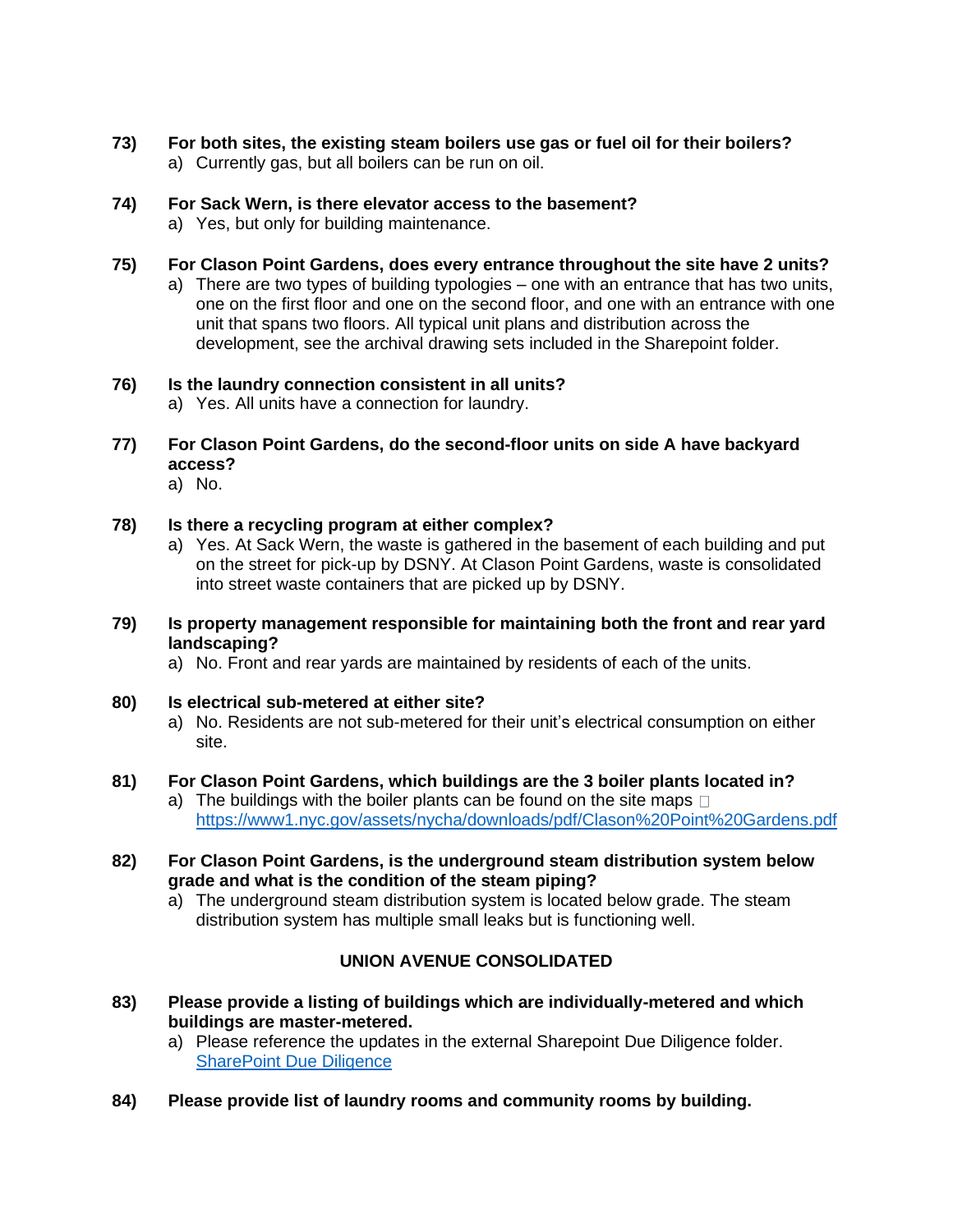**73) For both sites, the existing steam boilers use gas or fuel oil for their boilers?**  a) Currently gas, but all boilers can be run on oil.

#### **74) For Sack Wern, is there elevator access to the basement?**

a) Yes, but only for building maintenance.

#### **75) For Clason Point Gardens, does every entrance throughout the site have 2 units?**

a) There are two types of building typologies – one with an entrance that has two units, one on the first floor and one on the second floor, and one with an entrance with one unit that spans two floors. All typical unit plans and distribution across the development, see the archival drawing sets included in the Sharepoint folder.

#### **76) Is the laundry connection consistent in all units?**

a) Yes. All units have a connection for laundry.

#### **77) For Clason Point Gardens, do the second-floor units on side A have backyard access?**

a) No.

#### **78) Is there a recycling program at either complex?**

- a) Yes. At Sack Wern, the waste is gathered in the basement of each building and put on the street for pick-up by DSNY. At Clason Point Gardens, waste is consolidated into street waste containers that are picked up by DSNY.
- **79) Is property management responsible for maintaining both the front and rear yard landscaping?**
	- a) No. Front and rear yards are maintained by residents of each of the units.

#### **80) Is electrical sub-metered at either site?**

a) No. Residents are not sub-metered for their unit's electrical consumption on either site.

#### **81) For Clason Point Gardens, which buildings are the 3 boiler plants located in?**

- a) The buildings with the boiler plants can be found on the site maps  $\Box$ <https://www1.nyc.gov/assets/nycha/downloads/pdf/Clason%20Point%20Gardens.pdf>
- **82) For Clason Point Gardens, is the underground steam distribution system below grade and what is the condition of the steam piping?**
	- a) The underground steam distribution system is located below grade. The steam distribution system has multiple small leaks but is functioning well.

#### **UNION AVENUE CONSOLIDATED**

- **83) Please provide a listing of buildings which are individually-metered and which buildings are master-metered.** 
	- a) Please reference the updates in the external Sharepoint Due Diligence folder. [SharePoint Due Diligence](https://nycha.sharepoint.com/:f:/s/Team7104/EioF8I10EZJPl72C4wXUbPwB3BTb3ViMqttob-8qKM73tQ?e=cRVGc4)
- **84) Please provide list of laundry rooms and community rooms by building.**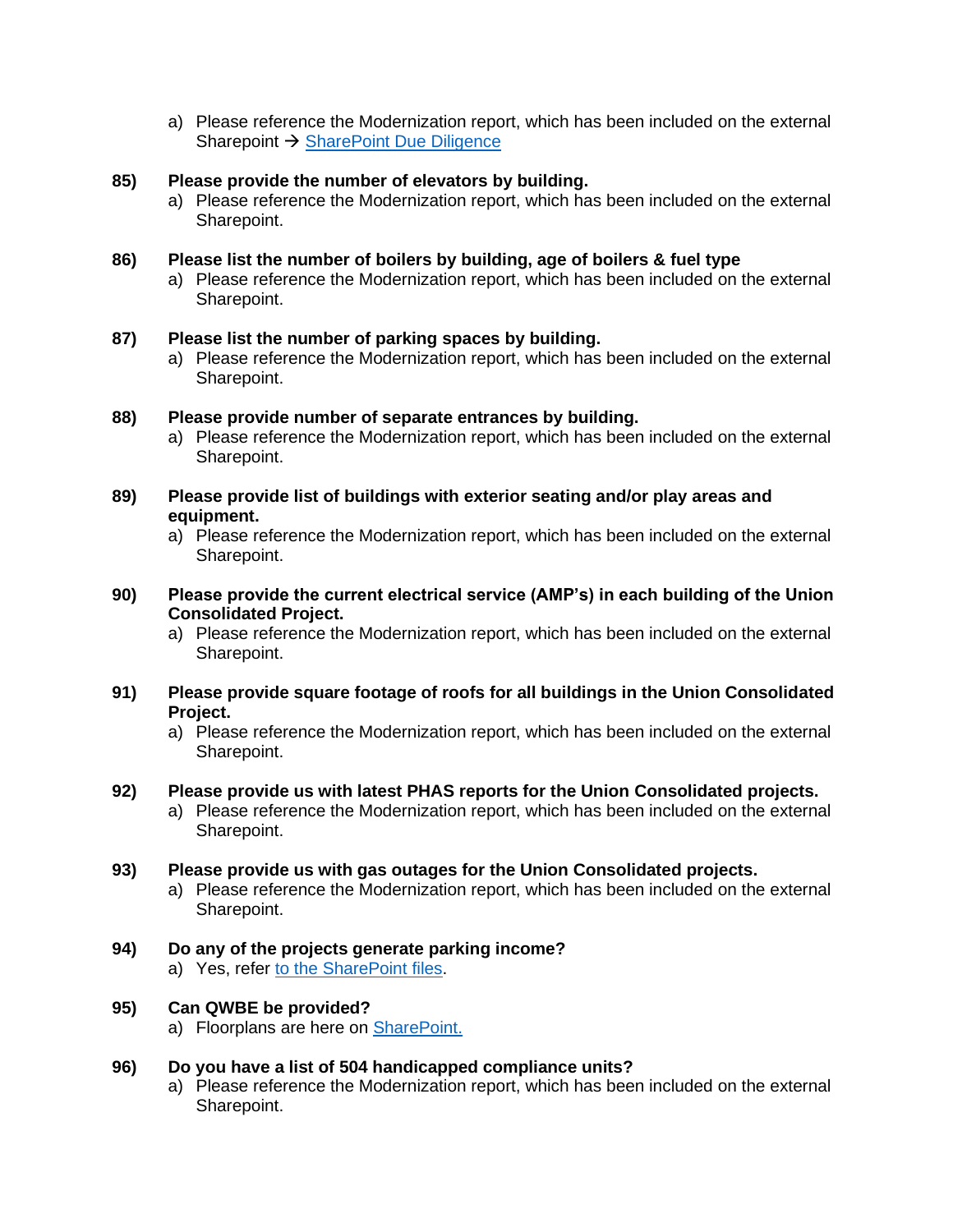a) Please reference the Modernization report, which has been included on the external Sharepoint → [SharePoint Due Diligence](https://nycha.sharepoint.com/:f:/s/Team7104/EioF8I10EZJPl72C4wXUbPwB3BTb3ViMqttob-8qKM73tQ?e=cRVGc4)

#### **85) Please provide the number of elevators by building.**

a) Please reference the Modernization report, which has been included on the external Sharepoint.

#### **86) Please list the number of boilers by building, age of boilers & fuel type**

a) Please reference the Modernization report, which has been included on the external Sharepoint.

#### **87) Please list the number of parking spaces by building.**

a) Please reference the Modernization report, which has been included on the external Sharepoint.

#### **88) Please provide number of separate entrances by building.**

- a) Please reference the Modernization report, which has been included on the external Sharepoint.
- **89) Please provide list of buildings with exterior seating and/or play areas and equipment.** 
	- a) Please reference the Modernization report, which has been included on the external Sharepoint.
- **90) Please provide the current electrical service (AMP's) in each building of the Union Consolidated Project.**
	- a) Please reference the Modernization report, which has been included on the external Sharepoint.
- **91) Please provide square footage of roofs for all buildings in the Union Consolidated Project.**
	- a) Please reference the Modernization report, which has been included on the external Sharepoint.

#### **92) Please provide us with latest PHAS reports for the Union Consolidated projects.**

a) Please reference the Modernization report, which has been included on the external Sharepoint.

#### **93) Please provide us with gas outages for the Union Consolidated projects.**

a) Please reference the Modernization report, which has been included on the external Sharepoint.

#### **94) Do any of the projects generate parking income?**

a) Yes, refer [to the SharePoint files.](https://nycha.sharepoint.com/:f:/s/Team7104/Ep7V9t4uGgNGqDpNSANjYcwBQ9E_adWfAZv95SxeGig6QQ?e=pudCzw)

#### **95) Can QWBE be provided?**

a) Floorplans are here on [SharePoint.](https://nycha.sharepoint.com/:f:/s/Team7104/ElBhYj-owqREgxHzy5jphK0BYxdAdh4801pUycNBvOc8Mw?e=ep6sla)

#### **96) Do you have a list of 504 handicapped compliance units?**

a) Please reference the Modernization report, which has been included on the external Sharepoint.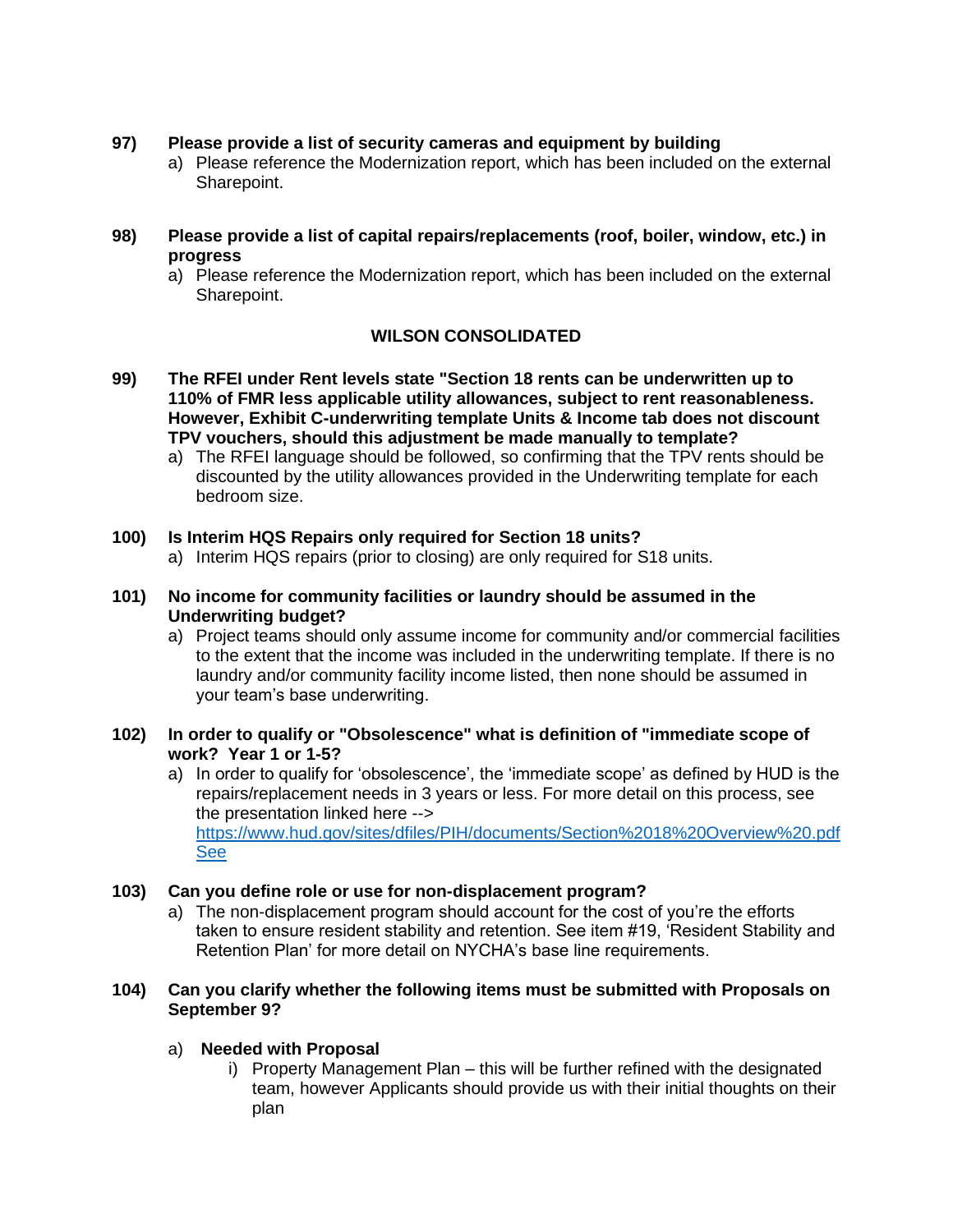- **97) Please provide a list of security cameras and equipment by building** 
	- a) Please reference the Modernization report, which has been included on the external Sharepoint.
- **98) Please provide a list of capital repairs/replacements (roof, boiler, window, etc.) in progress**
	- a) Please reference the Modernization report, which has been included on the external Sharepoint.

# **WILSON CONSOLIDATED**

- **99) The RFEI under Rent levels state "Section 18 rents can be underwritten up to 110% of FMR less applicable utility allowances, subject to rent reasonableness. However, Exhibit C-underwriting template Units & Income tab does not discount TPV vouchers, should this adjustment be made manually to template?**
	- a) The RFEI language should be followed, so confirming that the TPV rents should be discounted by the utility allowances provided in the Underwriting template for each bedroom size.

#### **100) Is Interim HQS Repairs only required for Section 18 units?**

- a) Interim HQS repairs (prior to closing) are only required for S18 units.
- **101) No income for community facilities or laundry should be assumed in the Underwriting budget?** 
	- a) Project teams should only assume income for community and/or commercial facilities to the extent that the income was included in the underwriting template. If there is no laundry and/or community facility income listed, then none should be assumed in your team's base underwriting.

#### **102) In order to qualify or "Obsolescence" what is definition of "immediate scope of work? Year 1 or 1-5?**

a) In order to qualify for 'obsolescence', the 'immediate scope' as defined by HUD is the repairs/replacement needs in 3 years or less. For more detail on this process, see the presentation linked here --> [https://www.hud.gov/sites/dfiles/PIH/documents/Section%2018%20Overview%20.pdf](https://www.hud.gov/sites/dfiles/PIH/documents/Section%2018%20Overview%20.pdfSee) [See](https://www.hud.gov/sites/dfiles/PIH/documents/Section%2018%20Overview%20.pdfSee)

#### **103) Can you define role or use for non-displacement program?**

a) The non-displacement program should account for the cost of you're the efforts taken to ensure resident stability and retention. See item #19, 'Resident Stability and Retention Plan' for more detail on NYCHA's base line requirements.

#### **104) Can you clarify whether the following items must be submitted with Proposals on September 9?**

#### a) **Needed with Proposal**

i) Property Management Plan – this will be further refined with the designated team, however Applicants should provide us with their initial thoughts on their plan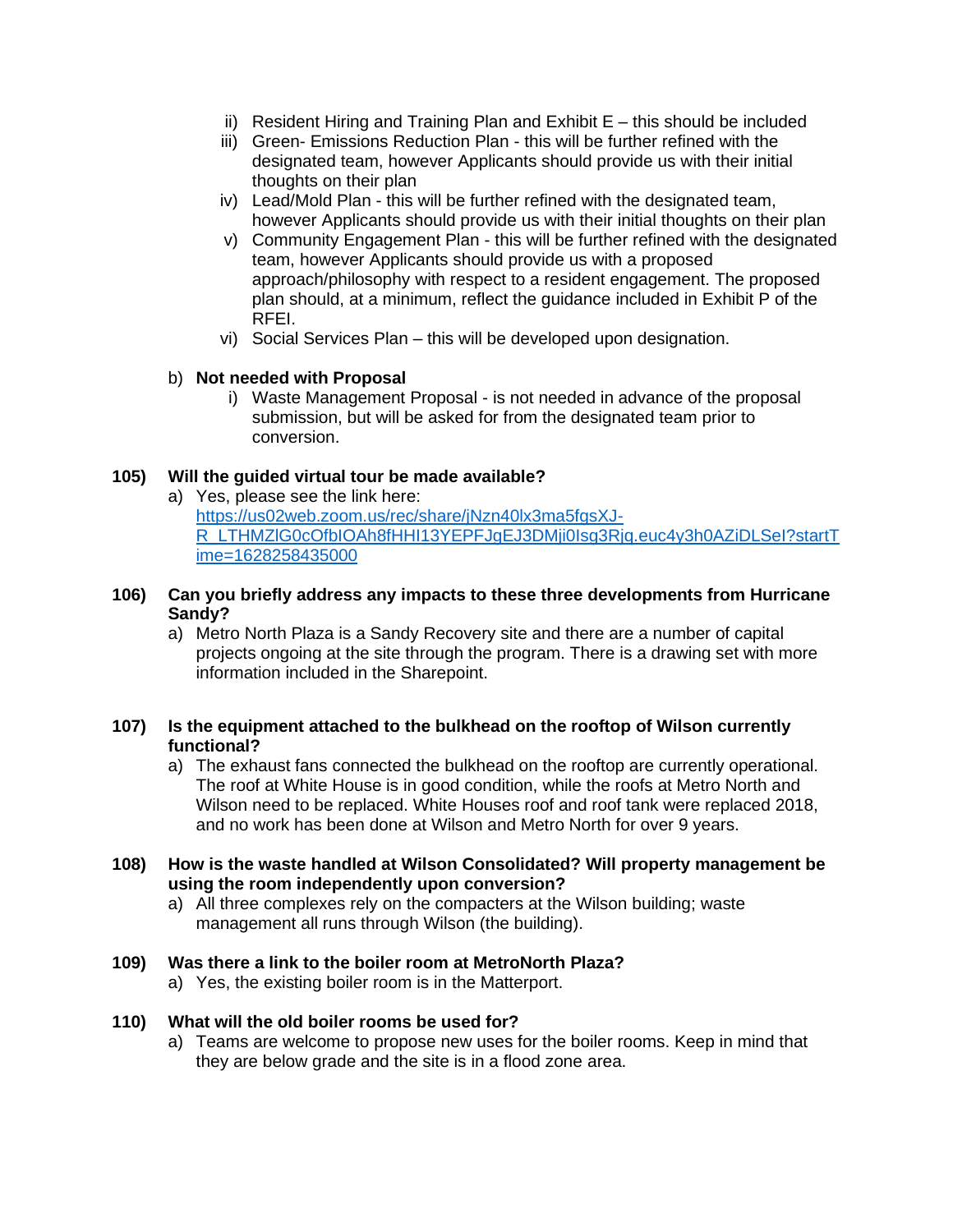- ii) Resident Hiring and Training Plan and Exhibit  $E th$  is should be included
- iii) Green- Emissions Reduction Plan this will be further refined with the designated team, however Applicants should provide us with their initial thoughts on their plan
- iv) Lead/Mold Plan this will be further refined with the designated team, however Applicants should provide us with their initial thoughts on their plan
- v) Community Engagement Plan this will be further refined with the designated team, however Applicants should provide us with a proposed approach/philosophy with respect to a resident engagement. The proposed plan should, at a minimum, reflect the guidance included in Exhibit P of the RFEI.
- vi) Social Services Plan this will be developed upon designation.

# b) **Not needed with Proposal**

i) Waste Management Proposal - is not needed in advance of the proposal submission, but will be asked for from the designated team prior to conversion.

# **105) Will the guided virtual tour be made available?**

a) Yes, please see the link here: [https://us02web.zoom.us/rec/share/jNzn40lx3ma5fgsXJ-](https://us02web.zoom.us/rec/share/jNzn40lx3ma5fgsXJ-R_LTHMZlG0cOfbIOAh8fHHI13YEPFJgEJ3DMji0Isg3Rjq.euc4y3h0AZiDLSeI?startTime=1628258435000)[R\\_LTHMZlG0cOfbIOAh8fHHI13YEPFJgEJ3DMji0Isg3Rjq.euc4y3h0AZiDLSeI?startT](https://us02web.zoom.us/rec/share/jNzn40lx3ma5fgsXJ-R_LTHMZlG0cOfbIOAh8fHHI13YEPFJgEJ3DMji0Isg3Rjq.euc4y3h0AZiDLSeI?startTime=1628258435000) [ime=1628258435000](https://us02web.zoom.us/rec/share/jNzn40lx3ma5fgsXJ-R_LTHMZlG0cOfbIOAh8fHHI13YEPFJgEJ3DMji0Isg3Rjq.euc4y3h0AZiDLSeI?startTime=1628258435000)

#### **106) Can you briefly address any impacts to these three developments from Hurricane Sandy?**

a) Metro North Plaza is a Sandy Recovery site and there are a number of capital projects ongoing at the site through the program. There is a drawing set with more information included in the Sharepoint.

#### **107) Is the equipment attached to the bulkhead on the rooftop of Wilson currently functional?**

- a) The exhaust fans connected the bulkhead on the rooftop are currently operational. The roof at White House is in good condition, while the roofs at Metro North and Wilson need to be replaced. White Houses roof and roof tank were replaced 2018, and no work has been done at Wilson and Metro North for over 9 years.
- **108) How is the waste handled at Wilson Consolidated? Will property management be using the room independently upon conversion?**
	- a) All three complexes rely on the compacters at the Wilson building; waste management all runs through Wilson (the building).

#### **109) Was there a link to the boiler room at MetroNorth Plaza?**

a) Yes, the existing boiler room is in the Matterport.

#### **110) What will the old boiler rooms be used for?**

a) Teams are welcome to propose new uses for the boiler rooms. Keep in mind that they are below grade and the site is in a flood zone area.